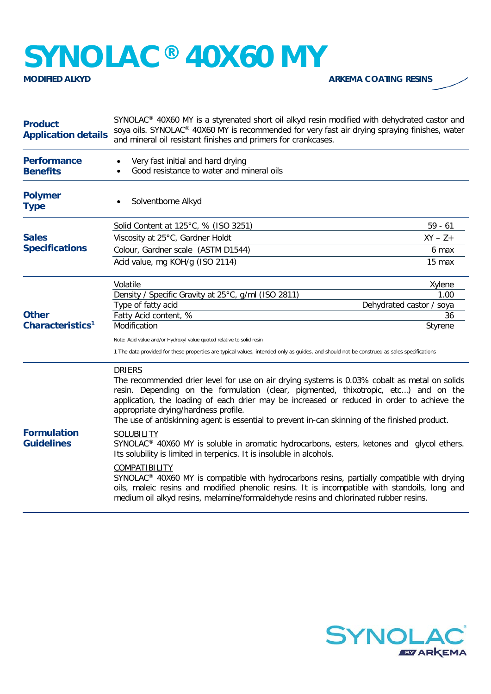## **SYNOLAC®** 40X60 MY

| <b>Product</b><br><b>Application details</b> | SYNOLAC <sup>®</sup> 40X60 MY is a styrenated short oil alkyd resin modified with dehydrated castor and<br>soya oils. SYNOLAC® 40X60 MY is recommended for very fast air drying spraying finishes, water<br>and mineral oil resistant finishes and primers for crankcases.                                                                                                                                                                                                                                                                                                                                                                                                                                                                                                                                                                                                                                                                                      |                          |
|----------------------------------------------|-----------------------------------------------------------------------------------------------------------------------------------------------------------------------------------------------------------------------------------------------------------------------------------------------------------------------------------------------------------------------------------------------------------------------------------------------------------------------------------------------------------------------------------------------------------------------------------------------------------------------------------------------------------------------------------------------------------------------------------------------------------------------------------------------------------------------------------------------------------------------------------------------------------------------------------------------------------------|--------------------------|
| <b>Performance</b><br><b>Benefits</b>        | Very fast initial and hard drying<br>Good resistance to water and mineral oils                                                                                                                                                                                                                                                                                                                                                                                                                                                                                                                                                                                                                                                                                                                                                                                                                                                                                  |                          |
| <b>Polymer</b><br><b>Type</b>                | Solventborne Alkyd                                                                                                                                                                                                                                                                                                                                                                                                                                                                                                                                                                                                                                                                                                                                                                                                                                                                                                                                              |                          |
| <b>Sales</b><br><b>Specifications</b>        | Solid Content at 125°C, % (ISO 3251)                                                                                                                                                                                                                                                                                                                                                                                                                                                                                                                                                                                                                                                                                                                                                                                                                                                                                                                            | $59 - 61$                |
|                                              | Viscosity at 25°C, Gardner Holdt                                                                                                                                                                                                                                                                                                                                                                                                                                                                                                                                                                                                                                                                                                                                                                                                                                                                                                                                | $XY - Z +$               |
|                                              | Colour, Gardner scale (ASTM D1544)                                                                                                                                                                                                                                                                                                                                                                                                                                                                                                                                                                                                                                                                                                                                                                                                                                                                                                                              | 6 max                    |
|                                              | Acid value, mg KOH/g (ISO 2114)                                                                                                                                                                                                                                                                                                                                                                                                                                                                                                                                                                                                                                                                                                                                                                                                                                                                                                                                 | 15 <sub>max</sub>        |
| <b>Other</b><br>Characteristics <sup>1</sup> | Volatile                                                                                                                                                                                                                                                                                                                                                                                                                                                                                                                                                                                                                                                                                                                                                                                                                                                                                                                                                        | Xylene                   |
|                                              | Density / Specific Gravity at 25°C, g/ml (ISO 2811)                                                                                                                                                                                                                                                                                                                                                                                                                                                                                                                                                                                                                                                                                                                                                                                                                                                                                                             | 1.00                     |
|                                              | Type of fatty acid                                                                                                                                                                                                                                                                                                                                                                                                                                                                                                                                                                                                                                                                                                                                                                                                                                                                                                                                              | Dehydrated castor / soya |
|                                              | Fatty Acid content, %<br>Modification                                                                                                                                                                                                                                                                                                                                                                                                                                                                                                                                                                                                                                                                                                                                                                                                                                                                                                                           | 36<br>Styrene            |
|                                              |                                                                                                                                                                                                                                                                                                                                                                                                                                                                                                                                                                                                                                                                                                                                                                                                                                                                                                                                                                 |                          |
|                                              | Note: Acid value and/or Hydroxyl value quoted relative to solid resin<br>1 The data provided for these properties are typical values, intended only as guides, and should not be construed as sales specifications                                                                                                                                                                                                                                                                                                                                                                                                                                                                                                                                                                                                                                                                                                                                              |                          |
| <b>Formulation</b><br><b>Guidelines</b>      | <b>DRIERS</b><br>The recommended drier level for use on air drying systems is 0.03% cobalt as metal on solids<br>resin. Depending on the formulation (clear, pigmented, thixotropic, etc) and on the<br>application, the loading of each drier may be increased or reduced in order to achieve the<br>appropriate drying/hardness profile.<br>The use of antiskinning agent is essential to prevent in-can skinning of the finished product.<br>SOLUBILITY<br>SYNOLAC <sup>®</sup> 40X60 MY is soluble in aromatic hydrocarbons, esters, ketones and glycol ethers.<br>Its solubility is limited in terpenics. It is insoluble in alcohols.<br>COMPATIBILITY<br>SYNOLAC <sup>®</sup> 40X60 MY is compatible with hydrocarbons resins, partially compatible with drying<br>oils, maleic resins and modified phenolic resins. It is incompatible with standoils, long and<br>medium oil alkyd resins, melamine/formaldehyde resins and chlorinated rubber resins. |                          |